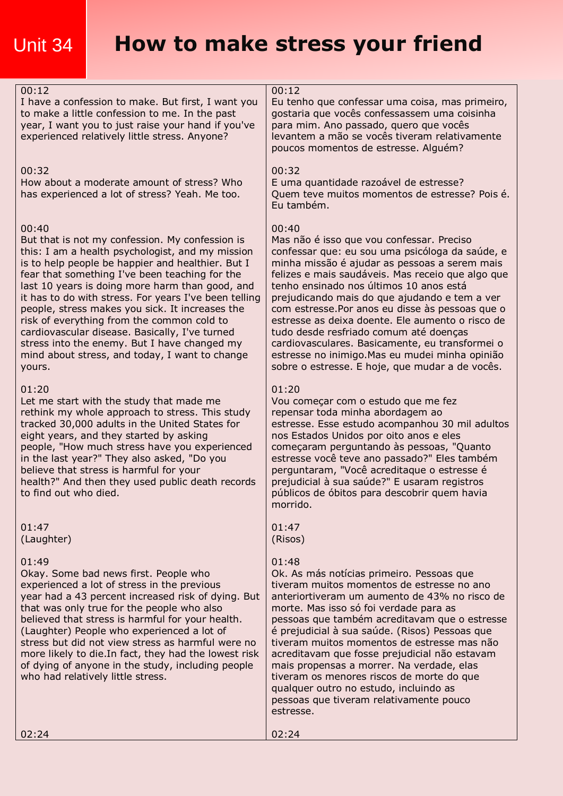# Unit 34 **How to make stress your friend**

| 00:12<br>I have a confession to make. But first, I want you<br>to make a little confession to me. In the past<br>year, I want you to just raise your hand if you've<br>experienced relatively little stress. Anyone?                                                                                                                                                                                                                                                                                                                                                                           | 00:12<br>Eu tenho que confessar uma coisa, mas primeiro,<br>gostaria que vocês confessassem uma coisinha<br>para mim. Ano passado, quero que vocês<br>levantem a mão se vocês tiveram relativamente<br>poucos momentos de estresse. Alguém?                                                                                                                                                                                                                                                                                                                                                                        |
|------------------------------------------------------------------------------------------------------------------------------------------------------------------------------------------------------------------------------------------------------------------------------------------------------------------------------------------------------------------------------------------------------------------------------------------------------------------------------------------------------------------------------------------------------------------------------------------------|--------------------------------------------------------------------------------------------------------------------------------------------------------------------------------------------------------------------------------------------------------------------------------------------------------------------------------------------------------------------------------------------------------------------------------------------------------------------------------------------------------------------------------------------------------------------------------------------------------------------|
| 00:32<br>How about a moderate amount of stress? Who<br>has experienced a lot of stress? Yeah. Me too.                                                                                                                                                                                                                                                                                                                                                                                                                                                                                          | 00:32<br>E uma quantidade razoável de estresse?<br>Quem teve muitos momentos de estresse? Pois é.<br>Eu também.                                                                                                                                                                                                                                                                                                                                                                                                                                                                                                    |
| 00:40<br>But that is not my confession. My confession is<br>this: I am a health psychologist, and my mission<br>is to help people be happier and healthier. But I<br>fear that something I've been teaching for the<br>last 10 years is doing more harm than good, and<br>it has to do with stress. For years I've been telling<br>people, stress makes you sick. It increases the<br>risk of everything from the common cold to<br>cardiovascular disease. Basically, I've turned<br>stress into the enemy. But I have changed my<br>mind about stress, and today, I want to change<br>yours. | 00:40<br>Mas não é isso que vou confessar. Preciso<br>confessar que: eu sou uma psicóloga da saúde, e<br>minha missão é ajudar as pessoas a serem mais<br>felizes e mais saudáveis. Mas receio que algo que<br>tenho ensinado nos últimos 10 anos está<br>prejudicando mais do que ajudando e tem a ver<br>com estresse. Por anos eu disse às pessoas que o<br>estresse as deixa doente. Ele aumento o risco de<br>tudo desde resfriado comum até doenças<br>cardiovasculares. Basicamente, eu transformei o<br>estresse no inimigo. Mas eu mudei minha opinião<br>sobre o estresse. E hoje, que mudar a de vocês. |
| 01:20<br>Let me start with the study that made me<br>rethink my whole approach to stress. This study<br>tracked 30,000 adults in the United States for<br>eight years, and they started by asking<br>people, "How much stress have you experienced<br>in the last year?" They also asked, "Do you<br>believe that stress is harmful for your<br>health?" And then they used public death records<br>to find out who died                                                                                                                                                                       | 01:20<br>Vou começar com o estudo que me fez<br>repensar toda minha abordagem ao<br>estresse. Esse estudo acompanhou 30 mil adultos<br>nos Estados Unidos por oito anos e eles<br>começaram perguntando às pessoas, "Quanto<br>estresse você teve ano passado?" Eles também<br>perguntaram, "Você acreditaque o estresse é<br>prejudicial à sua saúde?" E usaram registros<br>públicos de óbitos para descobrir quem havia<br>morrido.                                                                                                                                                                             |
| 01:47<br>(Laughter)                                                                                                                                                                                                                                                                                                                                                                                                                                                                                                                                                                            | 01:47<br>(Risos)                                                                                                                                                                                                                                                                                                                                                                                                                                                                                                                                                                                                   |
| 01:49<br>Okay. Some bad news first. People who<br>experienced a lot of stress in the previous<br>year had a 43 percent increased risk of dying. But<br>that was only true for the people who also<br>believed that stress is harmful for your health.<br>(Laughter) People who experienced a lot of<br>stress but did not view stress as harmful were no<br>more likely to die. In fact, they had the lowest risk<br>of dying of anyone in the study, including people<br>who had relatively little stress.                                                                                    | 01:48<br>Ok. As más notícias primeiro. Pessoas que<br>tiveram muitos momentos de estresse no ano<br>anteriortiveram um aumento de 43% no risco de<br>morte. Mas isso só foi verdade para as<br>pessoas que também acreditavam que o estresse<br>é prejudicial à sua saúde. (Risos) Pessoas que<br>tiveram muitos momentos de estresse mas não<br>acreditavam que fosse prejudicial não estavam<br>mais propensas a morrer. Na verdade, elas<br>tiveram os menores riscos de morte do que<br>qualquer outro no estudo, incluindo as<br>pessoas que tiveram relativamente pouco<br>estresse.                         |
| 02:24                                                                                                                                                                                                                                                                                                                                                                                                                                                                                                                                                                                          | 02:24                                                                                                                                                                                                                                                                                                                                                                                                                                                                                                                                                                                                              |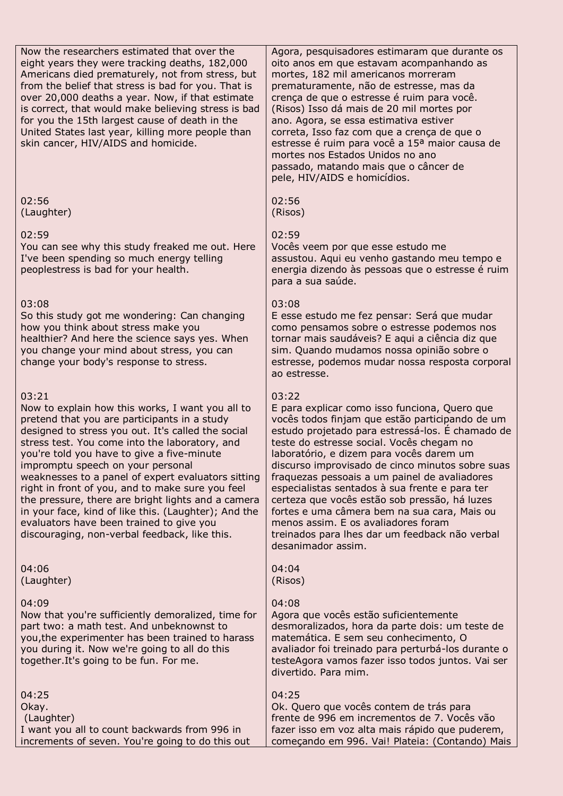Now the researchers estimated that over the eight years they were tracking deaths, 182,000 Americans died prematurely, not from stress, but from the belief that stress is bad for you. That is over 20,000 deaths a year. Now, if that estimate is correct, that would make believing stress is bad for you the 15th largest cause of death in the United States last year, killing more people than skin cancer, HIV/AIDS and homicide.

02:56 (Laughter)

### $02.59$

You can see why this study freaked me out. Here I've been spending so much energy telling peoplestress is bad for your health.

#### 03:08

So this study got me wondering: Can changing how you think about stress make you healthier? And here the science says yes. When you change your mind about stress, you can change your body's response to stress.

#### 03:21

Now to explain how this works, I want you all to pretend that you are participants in a study designed to stress you out. It's called the social stress test. You come into the laboratory, and you're told you have to give a five-minute impromptu speech on your personal weaknesses to a panel of expert evaluators sitting right in front of you, and to make sure you feel the pressure, there are bright lights and a camera in your face, kind of like this. (Laughter); And the evaluators have been trained to give you discouraging, non-verbal feedback, like this.

04:06 (Laughter)

### 04:09

Now that you're sufficiently demoralized, time for part two: a math test. And unbeknownst to you,the experimenter has been trained to harass you during it. Now we're going to all do this together.It's going to be fun. For me.

04:25 Okay. (Laughter) I want you all to count backwards from 996 in increments of seven. You're going to do this out

Agora, pesquisadores estimaram que durante os oito anos em que estavam acompanhando as mortes, 182 mil americanos morreram prematuramente, não de estresse, mas da crença de que o estresse é ruim para você. (Risos) Isso dá mais de 20 mil mortes por ano. Agora, se essa estimativa estiver correta, Isso faz com que a crença de que o estresse é ruim para você a 15ª maior causa de mortes nos Estados Unidos no ano passado, matando mais que o câncer de pele, HIV/AIDS e homicídios.

| 02:56   |  |
|---------|--|
| (Risos) |  |

#### 02:59

Vocês veem por que esse estudo me assustou. Aqui eu venho gastando meu tempo e energia dizendo às pessoas que o estresse é ruim para a sua saúde.

#### 03:08

E esse estudo me fez pensar: Será que mudar como pensamos sobre o estresse podemos nos tornar mais saudáveis? E aqui a ciência diz que sim. Quando mudamos nossa opinião sobre o estresse, podemos mudar nossa resposta corporal ao estresse.

#### 03:22

E para explicar como isso funciona, Quero que vocês todos finjam que estão participando de um estudo projetado para estressá-los. É chamado de teste do estresse social. Vocês chegam no laboratório, e dizem para vocês darem um discurso improvisado de cinco minutos sobre suas fraquezas pessoais a um painel de avaliadores especialistas sentados à sua frente e para ter certeza que vocês estão sob pressão, há luzes fortes e uma câmera bem na sua cara, Mais ou menos assim. E os avaliadores foram treinados para lhes dar um feedback não verbal desanimador assim.

| 04:04   |
|---------|
| (Risos) |

#### 04:08

Agora que vocês estão suficientemente desmoralizados, hora da parte dois: um teste de matemática. E sem seu conhecimento, O avaliador foi treinado para perturbá-los durante o testeAgora vamos fazer isso todos juntos. Vai ser divertido. Para mim.

#### 04:25

Ok. Quero que vocês contem de trás para frente de 996 em incrementos de 7. Vocês vão fazer isso em voz alta mais rápido que puderem, começando em 996. Vai! Plateia: (Contando) Mais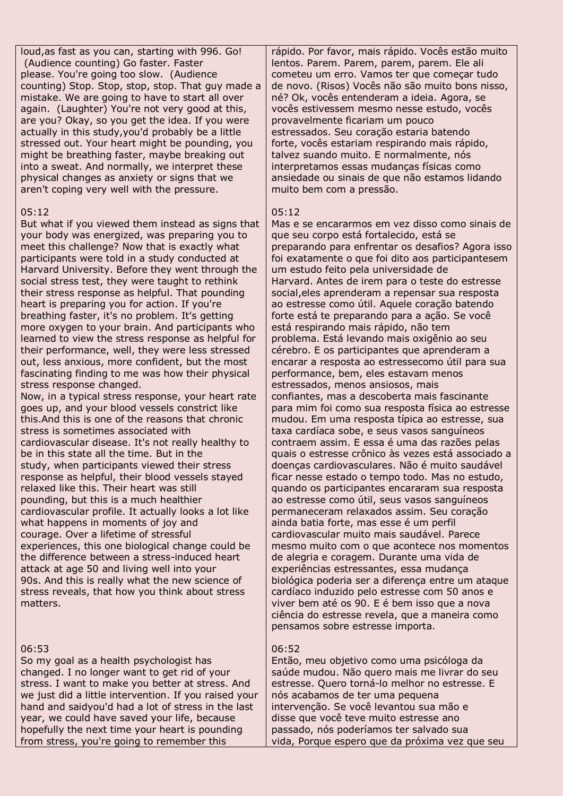loud,as fast as you can, starting with 996. Go! (Audience counting) Go faster. Faster please. You're going too slow. (Audience counting) Stop. Stop, stop, stop. That guy made a mistake. We are going to have to start all over again. (Laughter) You're not very good at this, are you? Okay, so you get the idea. If you were actually in this study,you'd probably be a little stressed out. Your heart might be pounding, you might be breathing faster, maybe breaking out into a sweat. And normally, we interpret these physical changes as anxiety or signs that we aren't coping very well with the pressure.

#### 05:12

But what if you viewed them instead as signs that your body was energized, was preparing you to meet this challenge? Now that is exactly what participants were told in a study conducted at Harvard University. Before they went through the social stress test, they were taught to rethink their stress response as helpful. That pounding heart is preparing you for action. If you're breathing faster, it's no problem. It's getting more oxygen to your brain. And participants who learned to view the stress response as helpful for their performance, well, they were less stressed out, less anxious, more confident, but the most fascinating finding to me was how their physical stress response changed.

Now, in a typical stress response, your heart rate goes up, and your blood vessels constrict like this.And this is one of the reasons that chronic stress is sometimes associated with cardiovascular disease. It's not really healthy to be in this state all the time. But in the study, when participants viewed their stress response as helpful, their blood vessels stayed relaxed like this. Their heart was still pounding, but this is a much healthier cardiovascular profile. It actually looks a lot like what happens in moments of joy and courage. Over a lifetime of stressful experiences, this one biological change could be the difference between a stress-induced heart attack at age 50 and living well into your 90s. And this is really what the new science of stress reveals, that how you think about stress matters.

### 06:53

So my goal as a health psychologist has changed. I no longer want to get rid of your stress. I want to make you better at stress. And we just did a little intervention. If you raised your hand and saidyou'd had a lot of stress in the last year, we could have saved your life, because hopefully the next time your heart is pounding from stress, you're going to remember this

rápido. Por favor, mais rápido. Vocês estão muito lentos. Parem. Parem, parem, parem. Ele ali cometeu um erro. Vamos ter que começar tudo de novo. (Risos) Vocês não são muito bons nisso, né? Ok, vocês entenderam a ideia. Agora, se vocês estivessem mesmo nesse estudo, vocês provavelmente ficariam um pouco estressados. Seu coração estaria batendo forte, vocês estariam respirando mais rápido, talvez suando muito. E normalmente, nós interpretamos essas mudanças físicas como ansiedade ou sinais de que não estamos lidando muito bem com a pressão.

#### 05:12

Mas e se encararmos em vez disso como sinais de que seu corpo está fortalecido, está se preparando para enfrentar os desafios? Agora isso foi exatamente o que foi dito aos participantesem um estudo feito pela universidade de Harvard. Antes de irem para o teste do estresse social,eles aprenderam a repensar sua resposta ao estresse como útil. Aquele coração batendo forte está te preparando para a ação. Se você está respirando mais rápido, não tem problema. Está levando mais oxigênio ao seu cérebro. E os participantes que aprenderam a encarar a resposta ao estressecomo útil para sua performance, bem, eles estavam menos estressados, menos ansiosos, mais confiantes, mas a descoberta mais fascinante para mim foi como sua resposta física ao estresse mudou. Em uma resposta típica ao estresse, sua taxa cardíaca sobe, e seus vasos sanguíneos contraem assim. E essa é uma das razões pelas quais o estresse crônico às vezes está associado a doenças cardiovasculares. Não é muito saudável ficar nesse estado o tempo todo. Mas no estudo, quando os participantes encararam sua resposta ao estresse como útil, seus vasos sanguíneos permaneceram relaxados assim. Seu coração ainda batia forte, mas esse é um perfil cardiovascular muito mais saudável. Parece mesmo muito com o que acontece nos momentos de alegria e coragem. Durante uma vida de experiências estressantes, essa mudança biológica poderia ser a diferença entre um ataque cardíaco induzido pelo estresse com 50 anos e viver bem até os 90. E é bem isso que a nova ciência do estresse revela, que a maneira como pensamos sobre estresse importa.

### 06:52

Então, meu objetivo como uma psicóloga da saúde mudou. Não quero mais me livrar do seu estresse. Quero torná-lo melhor no estresse. E nós acabamos de ter uma pequena intervenção. Se você levantou sua mão e disse que você teve muito estresse ano passado, nós poderíamos ter salvado sua vida, Porque espero que da próxima vez que seu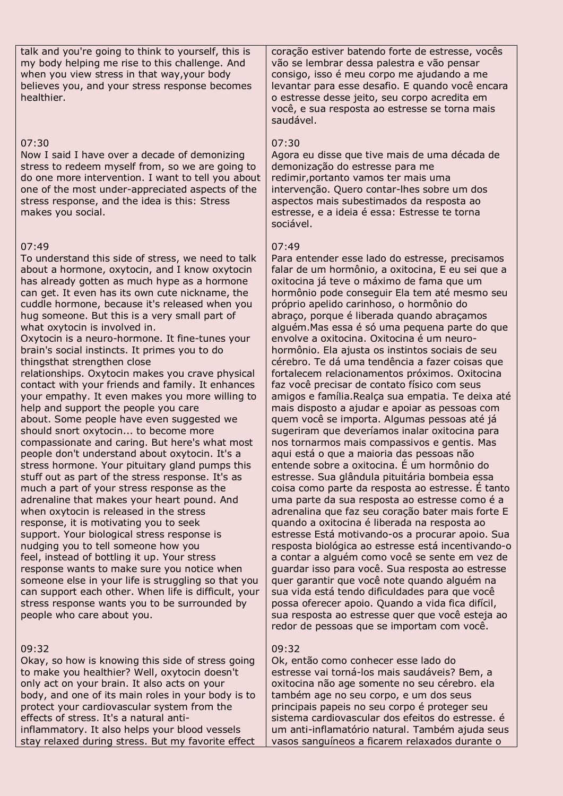talk and you're going to think to yourself, this is my body helping me rise to this challenge. And when you view stress in that way,your body believes you, and your stress response becomes healthier.

#### 07:30

Now I said I have over a decade of demonizing stress to redeem myself from, so we are going to do one more intervention. I want to tell you about one of the most under-appreciated aspects of the stress response, and the idea is this: Stress makes you social.

## 07:49

To understand this side of stress, we need to talk about a hormone, oxytocin, and I know oxytocin has already gotten as much hype as a hormone can get. It even has its own cute nickname, the cuddle hormone, because it's released when you hug someone. But this is a very small part of what oxytocin is involved in.

Oxytocin is a neuro-hormone. It fine-tunes your brain's social instincts. It primes you to do thingsthat strengthen close

relationships. Oxytocin makes you crave physical contact with your friends and family. It enhances your empathy. It even makes you more willing to help and support the people you care about. Some people have even suggested we should snort oxytocin... to become more compassionate and caring. But here's what most people don't understand about oxytocin. It's a stress hormone. Your pituitary gland pumps this stuff out as part of the stress response. It's as much a part of your stress response as the adrenaline that makes your heart pound. And when oxytocin is released in the stress response, it is motivating you to seek support. Your biological stress response is nudging you to tell someone how you feel, instead of bottling it up. Your stress response wants to make sure you notice when someone else in your life is struggling so that you can support each other. When life is difficult, your stress response wants you to be surrounded by people who care about you.

# 09:32

Okay, so how is knowing this side of stress going to make you healthier? Well, oxytocin doesn't only act on your brain. It also acts on your body, and one of its main roles in your body is to protect your cardiovascular system from the effects of stress. It's a natural antiinflammatory. It also helps your blood vessels stay relaxed during stress. But my favorite effect

coração estiver batendo forte de estresse, vocês vão se lembrar dessa palestra e vão pensar consigo, isso é meu corpo me ajudando a me levantar para esse desafio. E quando você encara o estresse desse jeito, seu corpo acredita em você, e sua resposta ao estresse se torna mais saudável.

# 07:30

Agora eu disse que tive mais de uma década de demonização do estresse para me redimir,portanto vamos ter mais uma intervenção. Quero contar-lhes sobre um dos aspectos mais subestimados da resposta ao estresse, e a ideia é essa: Estresse te torna sociável.

#### 07:49

Para entender esse lado do estresse, precisamos falar de um hormônio, a oxitocina, E eu sei que a oxitocina já teve o máximo de fama que um hormônio pode conseguir Ela tem até mesmo seu próprio apelido carinhoso, o hormônio do abraço, porque é liberada quando abraçamos alguém.Mas essa é só uma pequena parte do que envolve a oxitocina. Oxitocina é um neurohormônio. Ela ajusta os instintos sociais de seu cérebro. Te dá uma tendência a fazer coisas que fortalecem relacionamentos próximos. Oxitocina faz você precisar de contato físico com seus amigos e família.Realça sua empatia. Te deixa até mais disposto a ajudar e apoiar as pessoas com quem você se importa. Algumas pessoas até já sugeriram que deveríamos inalar oxitocina para nos tornarmos mais compassivos e gentis. Mas aqui está o que a maioria das pessoas não entende sobre a oxitocina. É um hormônio do estresse. Sua glândula pituitária bombeia essa coisa como parte da resposta ao estresse. É tanto uma parte da sua resposta ao estresse como é a adrenalina que faz seu coração bater mais forte E quando a oxitocina é liberada na resposta ao estresse Está motivando-os a procurar apoio. Sua resposta biológica ao estresse está incentivando-o a contar a alguém como você se sente em vez de guardar isso para você. Sua resposta ao estresse quer garantir que você note quando alguém na sua vida está tendo dificuldades para que você possa oferecer apoio. Quando a vida fica difícil, sua resposta ao estresse quer que você esteja ao redor de pessoas que se importam com você.

### 09:32

Ok, então como conhecer esse lado do estresse vai torná-los mais saudáveis? Bem, a oxitocina não age somente no seu cérebro. ela também age no seu corpo, e um dos seus principais papeis no seu corpo é proteger seu sistema cardiovascular dos efeitos do estresse. é um anti-inflamatório natural. Também ajuda seus vasos sanguíneos a ficarem relaxados durante o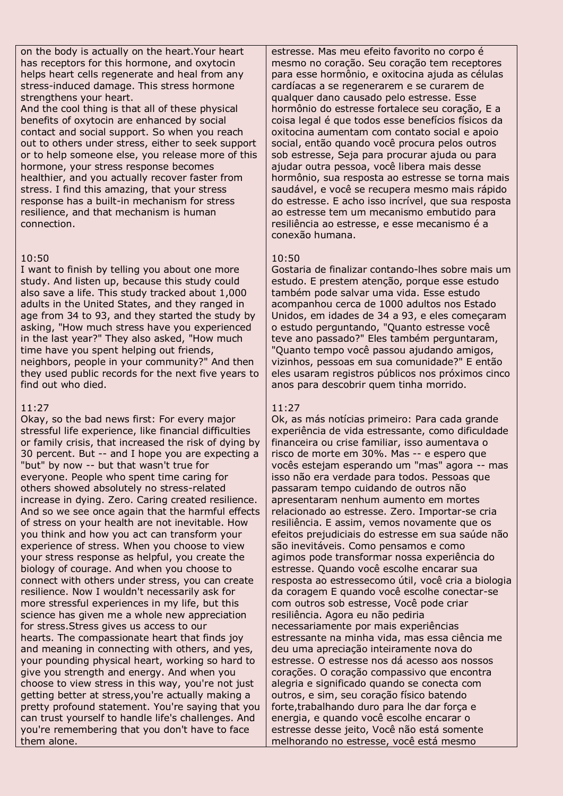on the body is actually on the heart.Your heart has receptors for this hormone, and oxytocin helps heart cells regenerate and heal from any stress-induced damage. This stress hormone strengthens your heart.

And the cool thing is that all of these physical benefits of oxytocin are enhanced by social contact and social support. So when you reach out to others under stress, either to seek support or to help someone else, you release more of this hormone, your stress response becomes healthier, and you actually recover faster from stress. I find this amazing, that your stress response has a built-in mechanism for stress resilience, and that mechanism is human connection.

### 10:50

I want to finish by telling you about one more study. And listen up, because this study could also save a life. This study tracked about 1,000 adults in the United States, and they ranged in age from 34 to 93, and they started the study by asking, "How much stress have you experienced in the last year?" They also asked, "How much time have you spent helping out friends, neighbors, people in your community?" And then they used public records for the next five years to find out who died.

### 11:27

Okay, so the bad news first: For every major stressful life experience, like financial difficulties or family crisis, that increased the risk of dying by 30 percent. But -- and I hope you are expecting a "but" by now -- but that wasn't true for everyone. People who spent time caring for others showed absolutely no stress-related increase in dying. Zero. Caring created resilience. And so we see once again that the harmful effects of stress on your health are not inevitable. How you think and how you act can transform your experience of stress. When you choose to view your stress response as helpful, you create the biology of courage. And when you choose to connect with others under stress, you can create resilience. Now I wouldn't necessarily ask for more stressful experiences in my life, but this science has given me a whole new appreciation for stress.Stress gives us access to our hearts. The compassionate heart that finds joy and meaning in connecting with others, and yes, your pounding physical heart, working so hard to give you strength and energy. And when you choose to view stress in this way, you're not just getting better at stress,you're actually making a pretty profound statement. You're saying that you can trust yourself to handle life's challenges. And you're remembering that you don't have to face them alone.

estresse. Mas meu efeito favorito no corpo é mesmo no coração. Seu coração tem receptores para esse hormônio, e oxitocina ajuda as células cardíacas a se regenerarem e se curarem de qualquer dano causado pelo estresse. Esse hormônio do estresse fortalece seu coração, E a coisa legal é que todos esse benefícios físicos da oxitocina aumentam com contato social e apoio social, então quando você procura pelos outros sob estresse, Seja para procurar ajuda ou para ajudar outra pessoa, você libera mais desse hormônio, sua resposta ao estresse se torna mais saudável, e você se recupera mesmo mais rápido do estresse. E acho isso incrível, que sua resposta ao estresse tem um mecanismo embutido para resiliência ao estresse, e esse mecanismo é a conexão humana.

#### 10:50

Gostaria de finalizar contando-lhes sobre mais um estudo. E prestem atenção, porque esse estudo também pode salvar uma vida. Esse estudo acompanhou cerca de 1000 adultos nos Estado Unidos, em idades de 34 a 93, e eles começaram o estudo perguntando, "Quanto estresse você teve ano passado?" Eles também perguntaram, "Quanto tempo você passou ajudando amigos, vizinhos, pessoas em sua comunidade?" E então eles usaram registros públicos nos próximos cinco anos para descobrir quem tinha morrido.

#### 11:27

Ok, as más notícias primeiro: Para cada grande experiência de vida estressante, como dificuldade financeira ou crise familiar, isso aumentava o risco de morte em 30%. Mas -- e espero que vocês estejam esperando um "mas" agora -- mas isso não era verdade para todos. Pessoas que passaram tempo cuidando de outros não apresentaram nenhum aumento em mortes relacionado ao estresse. Zero. Importar-se cria resiliência. E assim, vemos novamente que os efeitos prejudiciais do estresse em sua saúde não são inevitáveis. Como pensamos e como agimos pode transformar nossa experiência do estresse. Quando você escolhe encarar sua resposta ao estressecomo útil, você cria a biologia da coragem E quando você escolhe conectar-se com outros sob estresse, Você pode criar resiliência. Agora eu não pediria necessariamente por mais experiências estressante na minha vida, mas essa ciência me deu uma apreciação inteiramente nova do estresse. O estresse nos dá acesso aos nossos corações. O coração compassivo que encontra alegria e significado quando se conecta com outros, e sim, seu coração físico batendo forte,trabalhando duro para lhe dar força e energia, e quando você escolhe encarar o estresse desse jeito, Você não está somente melhorando no estresse, você está mesmo